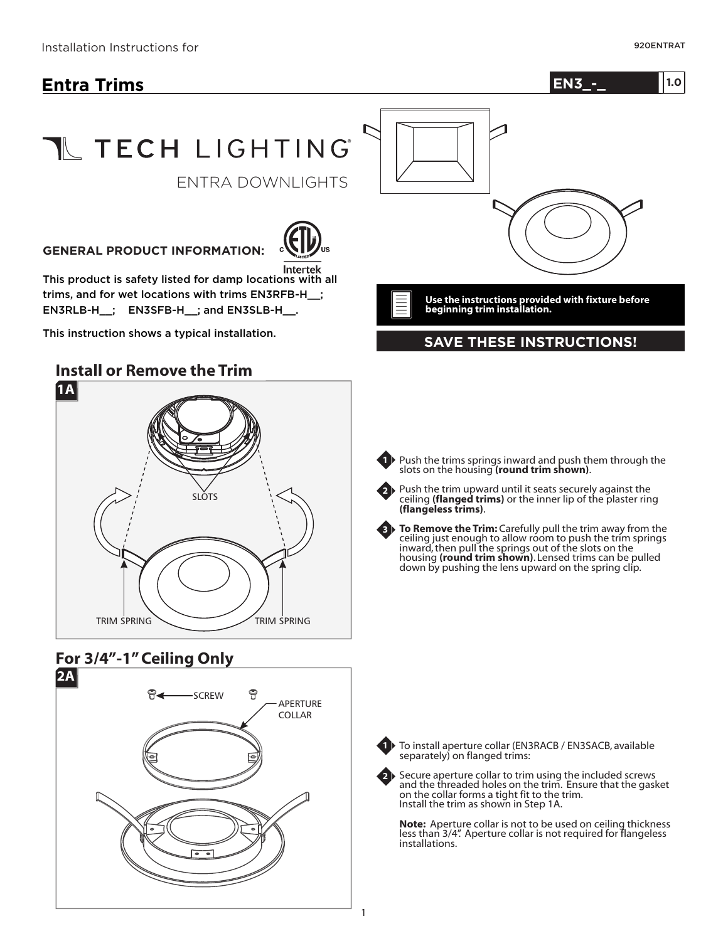# **Entra Trims**



# T TECH LIGHTING

ENTRA DOWNLIGHTS

#### **GENERAL PRODUCT INFORMATION:**



This product is safety listed for damp locations with all trims, and for wet locations with trims EN3RFB-H\_\_; EN3RLB-H : EN3SFB-H : and EN3SLB-H .

This instruction shows a typical installation.

## **Install or Remove the Trim**



## **For 3/4"-1" Ceiling Only**





**Use the instructions provided with fixture before beginning trim installation.**

#### **SAVE THESE INSTRUCTIONS!**



Push the trim upward until it seats securely against the ceiling (**flanged trims**) or the inner lip of the plaster ring (**flangeless trims**). **2**

**To Remove the Trim:** Carefully pull the trim away from the ceiling just enough to allow room to push the trim springs **3** ceiling just enough to allow room to push the trim springs<br>inward, then pull the springs out of the slots on the housing (round trim shown). Lensed trims can be pulled down by pushing the lens upward on the spring clip.



**2**

To install aperture collar (EN3RACB / EN3SACB, available separately) on flanged trims:

Secure aperture collar to trim using the included screws and the threaded holes on the trim. Ensure that the gasket on the collar forms a tight fit to the trim. Install the trim as shown in Step 1A.

**Note:** Aperture collar is not to be used on ceiling thickness less than 3/4". Aperture collar is not required for flangeless installations.